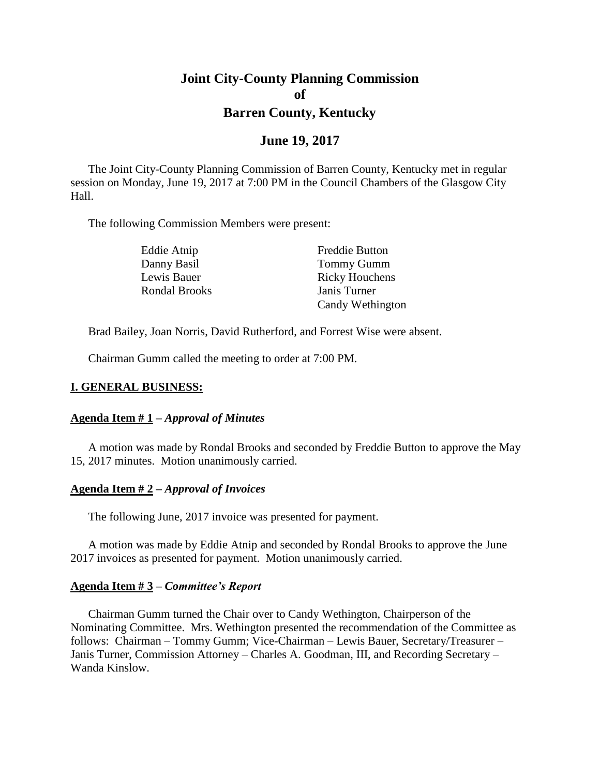# **Joint City-County Planning Commission of Barren County, Kentucky**

# **June 19, 2017**

The Joint City-County Planning Commission of Barren County, Kentucky met in regular session on Monday, June 19, 2017 at 7:00 PM in the Council Chambers of the Glasgow City Hall.

The following Commission Members were present:

| Eddie Atnip          | <b>Freddie Button</b> |
|----------------------|-----------------------|
| Danny Basil          | <b>Tommy Gumm</b>     |
| Lewis Bauer          | <b>Ricky Houchens</b> |
| <b>Rondal Brooks</b> | Janis Turner          |
|                      | Candy Wethington      |

Brad Bailey, Joan Norris, David Rutherford, and Forrest Wise were absent.

Chairman Gumm called the meeting to order at 7:00 PM.

## **I. GENERAL BUSINESS:**

### **Agenda Item # 1 –** *Approval of Minutes*

A motion was made by Rondal Brooks and seconded by Freddie Button to approve the May 15, 2017 minutes. Motion unanimously carried.

#### **Agenda Item # 2 –** *Approval of Invoices*

The following June, 2017 invoice was presented for payment.

A motion was made by Eddie Atnip and seconded by Rondal Brooks to approve the June 2017 invoices as presented for payment. Motion unanimously carried.

### **Agenda Item # 3 –** *Committee's Report*

Chairman Gumm turned the Chair over to Candy Wethington, Chairperson of the Nominating Committee. Mrs. Wethington presented the recommendation of the Committee as follows: Chairman – Tommy Gumm; Vice-Chairman – Lewis Bauer, Secretary/Treasurer – Janis Turner, Commission Attorney – Charles A. Goodman, III, and Recording Secretary – Wanda Kinslow.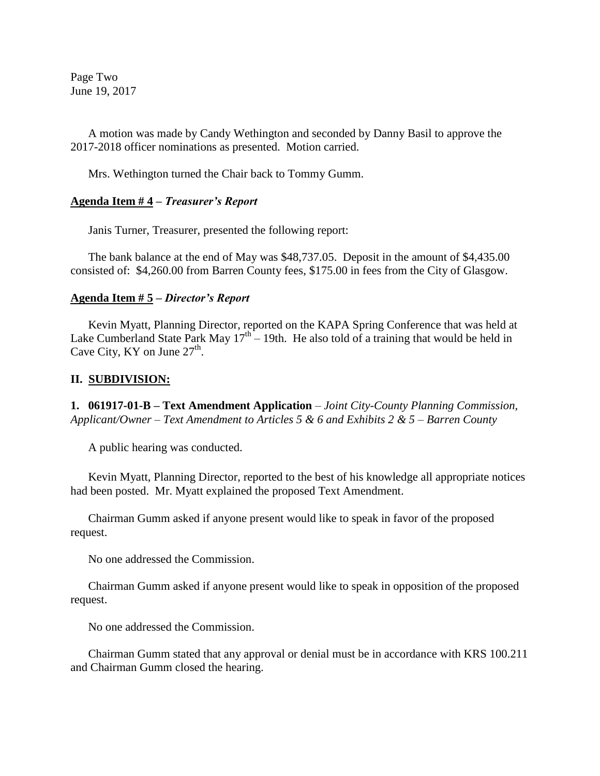Page Two June 19, 2017

A motion was made by Candy Wethington and seconded by Danny Basil to approve the 2017-2018 officer nominations as presented. Motion carried.

Mrs. Wethington turned the Chair back to Tommy Gumm.

### **Agenda Item # 4 –** *Treasurer's Report*

Janis Turner, Treasurer, presented the following report:

The bank balance at the end of May was \$48,737.05. Deposit in the amount of \$4,435.00 consisted of: \$4,260.00 from Barren County fees, \$175.00 in fees from the City of Glasgow.

### **Agenda Item # 5 –** *Director's Report*

Kevin Myatt, Planning Director, reported on the KAPA Spring Conference that was held at Lake Cumberland State Park May  $17<sup>th</sup> - 19$ th. He also told of a training that would be held in Cave City, KY on June  $27^{\text{th}}$ .

### **II. SUBDIVISION:**

**1. 061917-01-B – Text Amendment Application** *– Joint City-County Planning Commission, Applicant/Owner – Text Amendment to Articles 5 & 6 and Exhibits 2 & 5 – Barren County*

A public hearing was conducted.

Kevin Myatt, Planning Director, reported to the best of his knowledge all appropriate notices had been posted. Mr. Myatt explained the proposed Text Amendment.

Chairman Gumm asked if anyone present would like to speak in favor of the proposed request.

No one addressed the Commission.

Chairman Gumm asked if anyone present would like to speak in opposition of the proposed request.

No one addressed the Commission.

Chairman Gumm stated that any approval or denial must be in accordance with KRS 100.211 and Chairman Gumm closed the hearing.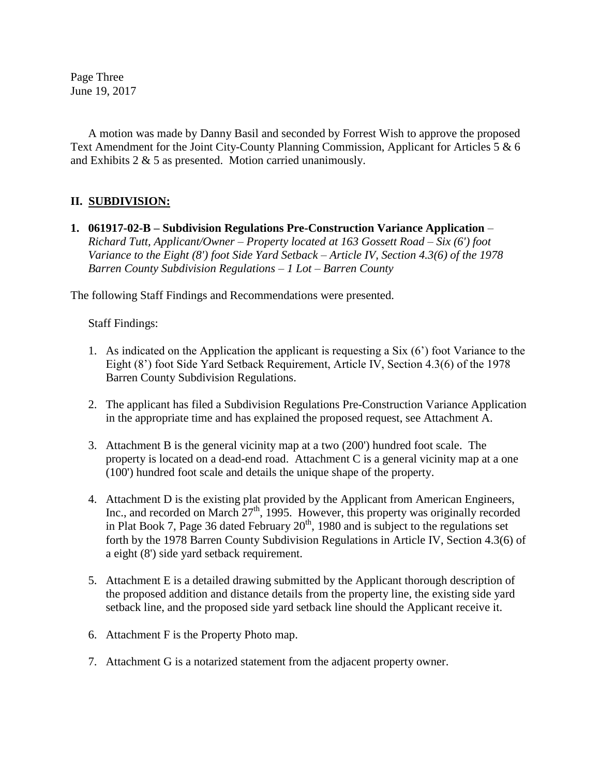Page Three June 19, 2017

A motion was made by Danny Basil and seconded by Forrest Wish to approve the proposed Text Amendment for the Joint City-County Planning Commission, Applicant for Articles 5 & 6 and Exhibits 2 & 5 as presented. Motion carried unanimously.

# **II. SUBDIVISION:**

**1. 061917-02-B – Subdivision Regulations Pre-Construction Variance Application** *– Richard Tutt, Applicant/Owner – Property located at 163 Gossett Road – Six (6') foot Variance to the Eight (8') foot Side Yard Setback – Article IV, Section 4.3(6) of the 1978 Barren County Subdivision Regulations – 1 Lot – Barren County*

The following Staff Findings and Recommendations were presented.

Staff Findings:

- 1. As indicated on the Application the applicant is requesting a Six (6') foot Variance to the Eight (8') foot Side Yard Setback Requirement, Article IV, Section 4.3(6) of the 1978 Barren County Subdivision Regulations.
- 2. The applicant has filed a Subdivision Regulations Pre-Construction Variance Application in the appropriate time and has explained the proposed request, see Attachment A.
- 3. Attachment B is the general vicinity map at a two (200') hundred foot scale. The property is located on a dead-end road. Attachment C is a general vicinity map at a one (100') hundred foot scale and details the unique shape of the property.
- 4. Attachment D is the existing plat provided by the Applicant from American Engineers, Inc., and recorded on March  $27<sup>th</sup>$ , 1995. However, this property was originally recorded in Plat Book 7, Page 36 dated February  $20<sup>th</sup>$ , 1980 and is subject to the regulations set forth by the 1978 Barren County Subdivision Regulations in Article IV, Section 4.3(6) of a eight (8') side yard setback requirement.
- 5. Attachment E is a detailed drawing submitted by the Applicant thorough description of the proposed addition and distance details from the property line, the existing side yard setback line, and the proposed side yard setback line should the Applicant receive it.
- 6. Attachment F is the Property Photo map.
- 7. Attachment G is a notarized statement from the adjacent property owner.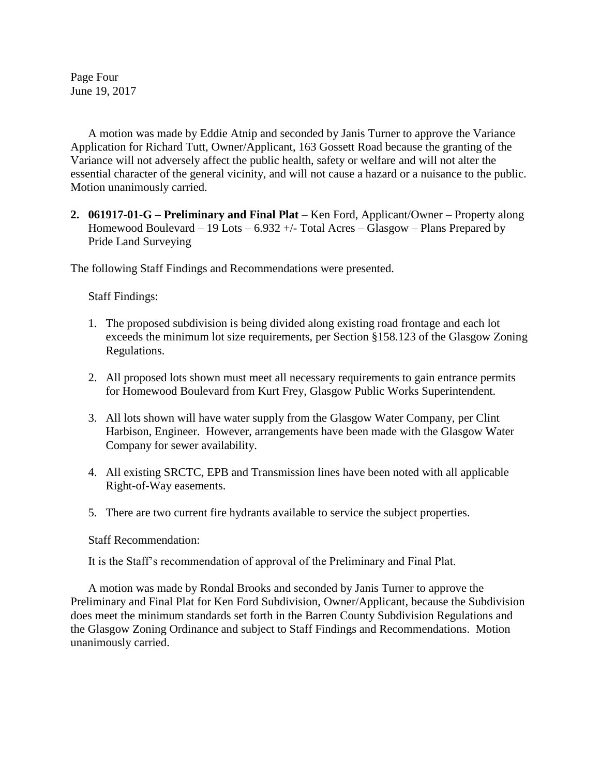Page Four June 19, 2017

A motion was made by Eddie Atnip and seconded by Janis Turner to approve the Variance Application for Richard Tutt, Owner/Applicant, 163 Gossett Road because the granting of the Variance will not adversely affect the public health, safety or welfare and will not alter the essential character of the general vicinity, and will not cause a hazard or a nuisance to the public. Motion unanimously carried.

**2. 061917-01-G – Preliminary and Final Plat** – Ken Ford, Applicant/Owner – Property along Homewood Boulevard – 19 Lots –  $6.932 +/-$  Total Acres – Glasgow – Plans Prepared by Pride Land Surveying

The following Staff Findings and Recommendations were presented.

Staff Findings:

- 1. The proposed subdivision is being divided along existing road frontage and each lot exceeds the minimum lot size requirements, per Section §158.123 of the Glasgow Zoning Regulations.
- 2. All proposed lots shown must meet all necessary requirements to gain entrance permits for Homewood Boulevard from Kurt Frey, Glasgow Public Works Superintendent.
- 3. All lots shown will have water supply from the Glasgow Water Company, per Clint Harbison, Engineer. However, arrangements have been made with the Glasgow Water Company for sewer availability.
- 4. All existing SRCTC, EPB and Transmission lines have been noted with all applicable Right-of-Way easements.
- 5. There are two current fire hydrants available to service the subject properties.

### Staff Recommendation:

It is the Staff's recommendation of approval of the Preliminary and Final Plat.

A motion was made by Rondal Brooks and seconded by Janis Turner to approve the Preliminary and Final Plat for Ken Ford Subdivision, Owner/Applicant, because the Subdivision does meet the minimum standards set forth in the Barren County Subdivision Regulations and the Glasgow Zoning Ordinance and subject to Staff Findings and Recommendations. Motion unanimously carried.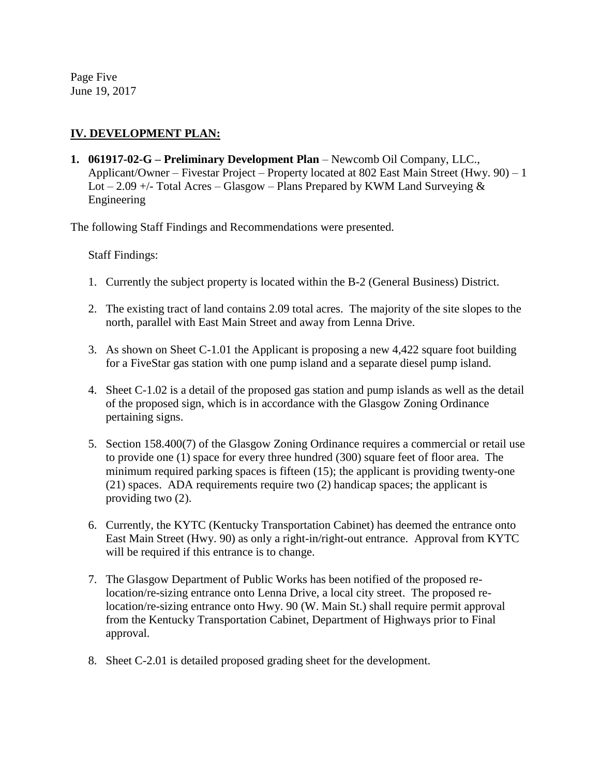Page Five June 19, 2017

# **IV. DEVELOPMENT PLAN:**

**1. 061917-02-G – Preliminary Development Plan** – Newcomb Oil Company, LLC., Applicant/Owner – Fivestar Project – Property located at 802 East Main Street (Hwy. 90) – 1 Lot – 2.09 +/- Total Acres – Glasgow – Plans Prepared by KWM Land Surveying  $\&$ Engineering

The following Staff Findings and Recommendations were presented.

Staff Findings:

- 1. Currently the subject property is located within the B-2 (General Business) District.
- 2. The existing tract of land contains 2.09 total acres. The majority of the site slopes to the north, parallel with East Main Street and away from Lenna Drive.
- 3. As shown on Sheet C-1.01 the Applicant is proposing a new 4,422 square foot building for a FiveStar gas station with one pump island and a separate diesel pump island.
- 4. Sheet C-1.02 is a detail of the proposed gas station and pump islands as well as the detail of the proposed sign, which is in accordance with the Glasgow Zoning Ordinance pertaining signs.
- 5. Section 158.400(7) of the Glasgow Zoning Ordinance requires a commercial or retail use to provide one (1) space for every three hundred (300) square feet of floor area. The minimum required parking spaces is fifteen (15); the applicant is providing twenty-one (21) spaces. ADA requirements require two (2) handicap spaces; the applicant is providing two (2).
- 6. Currently, the KYTC (Kentucky Transportation Cabinet) has deemed the entrance onto East Main Street (Hwy. 90) as only a right-in/right-out entrance. Approval from KYTC will be required if this entrance is to change.
- 7. The Glasgow Department of Public Works has been notified of the proposed relocation/re-sizing entrance onto Lenna Drive, a local city street. The proposed relocation/re-sizing entrance onto Hwy. 90 (W. Main St.) shall require permit approval from the Kentucky Transportation Cabinet, Department of Highways prior to Final approval.
- 8. Sheet C-2.01 is detailed proposed grading sheet for the development.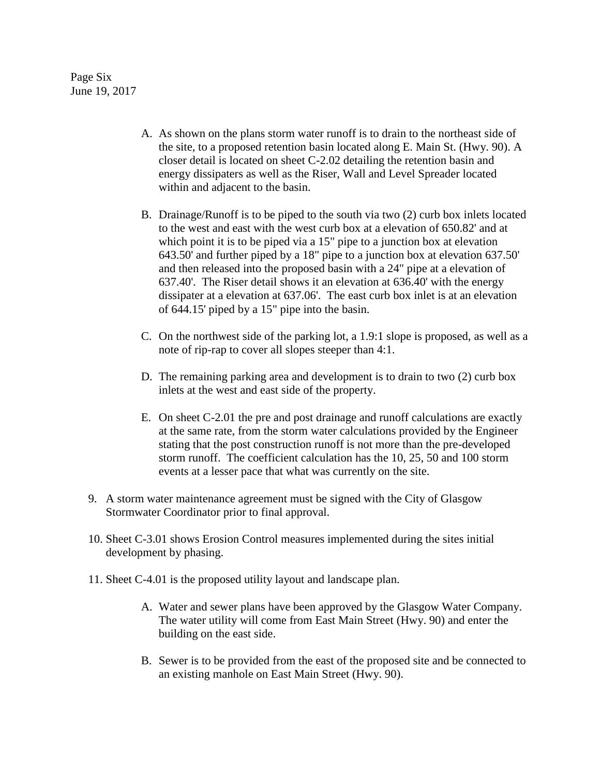Page Six June 19, 2017

- A. As shown on the plans storm water runoff is to drain to the northeast side of the site, to a proposed retention basin located along E. Main St. (Hwy. 90). A closer detail is located on sheet C-2.02 detailing the retention basin and energy dissipaters as well as the Riser, Wall and Level Spreader located within and adjacent to the basin.
- B. Drainage/Runoff is to be piped to the south via two (2) curb box inlets located to the west and east with the west curb box at a elevation of 650.82' and at which point it is to be piped via a 15" pipe to a junction box at elevation 643.50' and further piped by a 18" pipe to a junction box at elevation 637.50' and then released into the proposed basin with a 24" pipe at a elevation of 637.40'. The Riser detail shows it an elevation at 636.40' with the energy dissipater at a elevation at 637.06'. The east curb box inlet is at an elevation of 644.15' piped by a 15" pipe into the basin.
- C. On the northwest side of the parking lot, a 1.9:1 slope is proposed, as well as a note of rip-rap to cover all slopes steeper than 4:1.
- D. The remaining parking area and development is to drain to two (2) curb box inlets at the west and east side of the property.
- E. On sheet C-2.01 the pre and post drainage and runoff calculations are exactly at the same rate, from the storm water calculations provided by the Engineer stating that the post construction runoff is not more than the pre-developed storm runoff. The coefficient calculation has the 10, 25, 50 and 100 storm events at a lesser pace that what was currently on the site.
- 9. A storm water maintenance agreement must be signed with the City of Glasgow Stormwater Coordinator prior to final approval.
- 10. Sheet C-3.01 shows Erosion Control measures implemented during the sites initial development by phasing.
- 11. Sheet C-4.01 is the proposed utility layout and landscape plan.
	- A. Water and sewer plans have been approved by the Glasgow Water Company. The water utility will come from East Main Street (Hwy. 90) and enter the building on the east side.
	- B. Sewer is to be provided from the east of the proposed site and be connected to an existing manhole on East Main Street (Hwy. 90).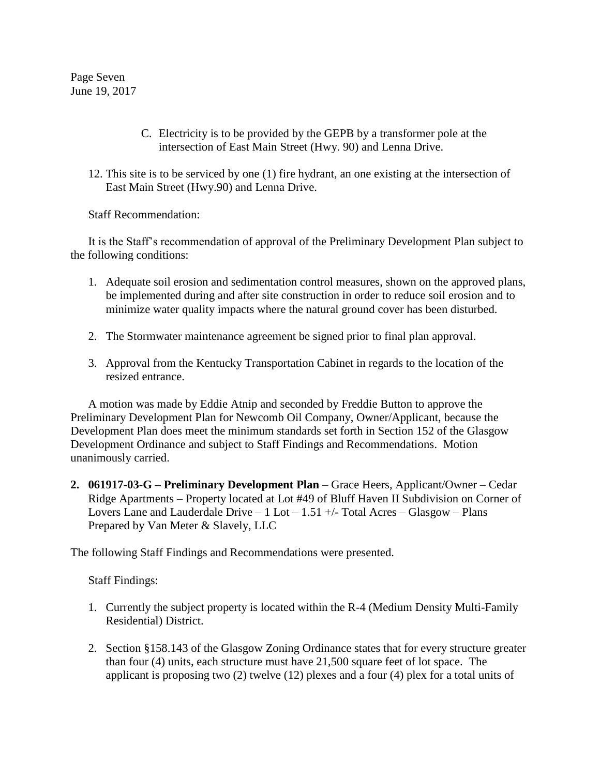Page Seven June 19, 2017

- C. Electricity is to be provided by the GEPB by a transformer pole at the intersection of East Main Street (Hwy. 90) and Lenna Drive.
- 12. This site is to be serviced by one (1) fire hydrant, an one existing at the intersection of East Main Street (Hwy.90) and Lenna Drive.

Staff Recommendation:

It is the Staff's recommendation of approval of the Preliminary Development Plan subject to the following conditions:

- 1. Adequate soil erosion and sedimentation control measures, shown on the approved plans, be implemented during and after site construction in order to reduce soil erosion and to minimize water quality impacts where the natural ground cover has been disturbed.
- 2. The Stormwater maintenance agreement be signed prior to final plan approval.
- 3. Approval from the Kentucky Transportation Cabinet in regards to the location of the resized entrance.

A motion was made by Eddie Atnip and seconded by Freddie Button to approve the Preliminary Development Plan for Newcomb Oil Company, Owner/Applicant, because the Development Plan does meet the minimum standards set forth in Section 152 of the Glasgow Development Ordinance and subject to Staff Findings and Recommendations. Motion unanimously carried.

**2. 061917-03-G – Preliminary Development Plan** – Grace Heers, Applicant/Owner – Cedar Ridge Apartments – Property located at Lot #49 of Bluff Haven II Subdivision on Corner of Lovers Lane and Lauderdale Drive  $-1$  Lot  $-1.51 +$ /- Total Acres  $-$  Glasgow  $-$  Plans Prepared by Van Meter & Slavely, LLC

The following Staff Findings and Recommendations were presented.

Staff Findings:

- 1. Currently the subject property is located within the R-4 (Medium Density Multi-Family Residential) District.
- 2. Section §158.143 of the Glasgow Zoning Ordinance states that for every structure greater than four (4) units, each structure must have 21,500 square feet of lot space. The applicant is proposing two (2) twelve (12) plexes and a four (4) plex for a total units of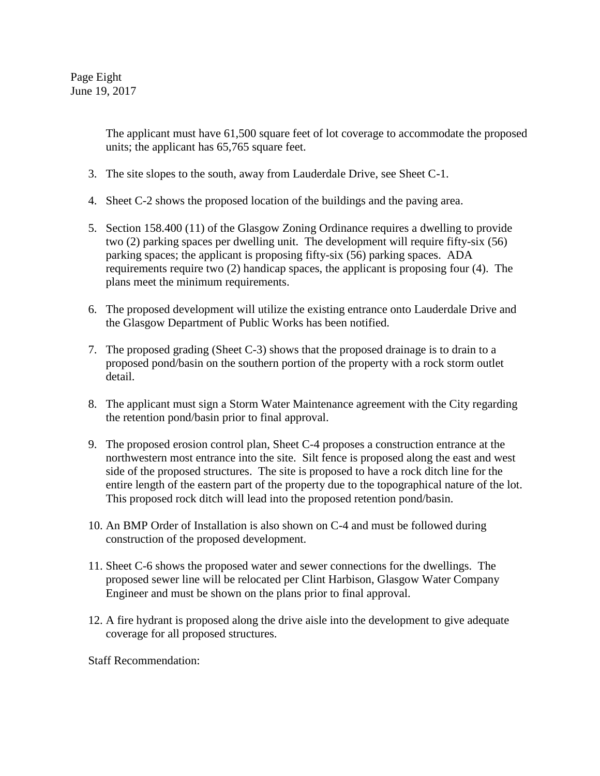Page Eight June 19, 2017

> The applicant must have 61,500 square feet of lot coverage to accommodate the proposed units; the applicant has 65,765 square feet.

- 3. The site slopes to the south, away from Lauderdale Drive, see Sheet C-1.
- 4. Sheet C-2 shows the proposed location of the buildings and the paving area.
- 5. Section 158.400 (11) of the Glasgow Zoning Ordinance requires a dwelling to provide two (2) parking spaces per dwelling unit. The development will require fifty-six (56) parking spaces; the applicant is proposing fifty-six (56) parking spaces. ADA requirements require two (2) handicap spaces, the applicant is proposing four (4). The plans meet the minimum requirements.
- 6. The proposed development will utilize the existing entrance onto Lauderdale Drive and the Glasgow Department of Public Works has been notified.
- 7. The proposed grading (Sheet C-3) shows that the proposed drainage is to drain to a proposed pond/basin on the southern portion of the property with a rock storm outlet detail.
- 8. The applicant must sign a Storm Water Maintenance agreement with the City regarding the retention pond/basin prior to final approval.
- 9. The proposed erosion control plan, Sheet C-4 proposes a construction entrance at the northwestern most entrance into the site. Silt fence is proposed along the east and west side of the proposed structures. The site is proposed to have a rock ditch line for the entire length of the eastern part of the property due to the topographical nature of the lot. This proposed rock ditch will lead into the proposed retention pond/basin.
- 10. An BMP Order of Installation is also shown on C-4 and must be followed during construction of the proposed development.
- 11. Sheet C-6 shows the proposed water and sewer connections for the dwellings. The proposed sewer line will be relocated per Clint Harbison, Glasgow Water Company Engineer and must be shown on the plans prior to final approval.
- 12. A fire hydrant is proposed along the drive aisle into the development to give adequate coverage for all proposed structures.

Staff Recommendation: